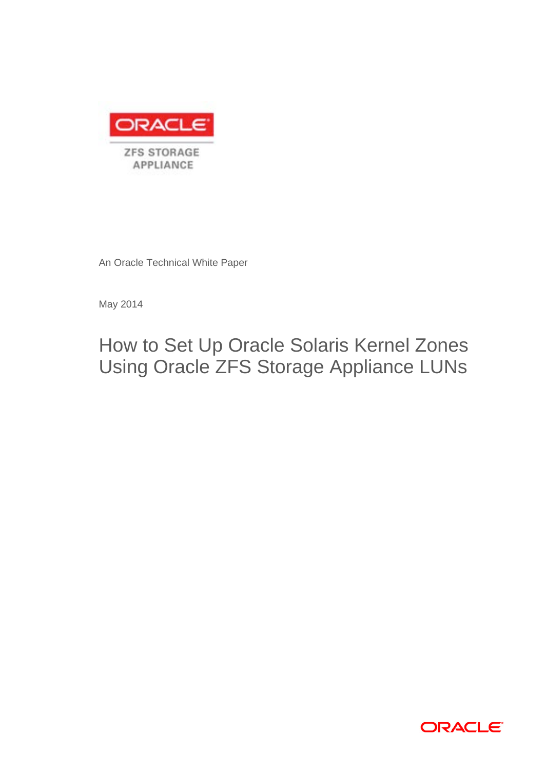

An Oracle Technical White Paper

May 2014

How to Set Up Oracle Solaris Kernel Zones Using Oracle ZFS Storage Appliance LUNs

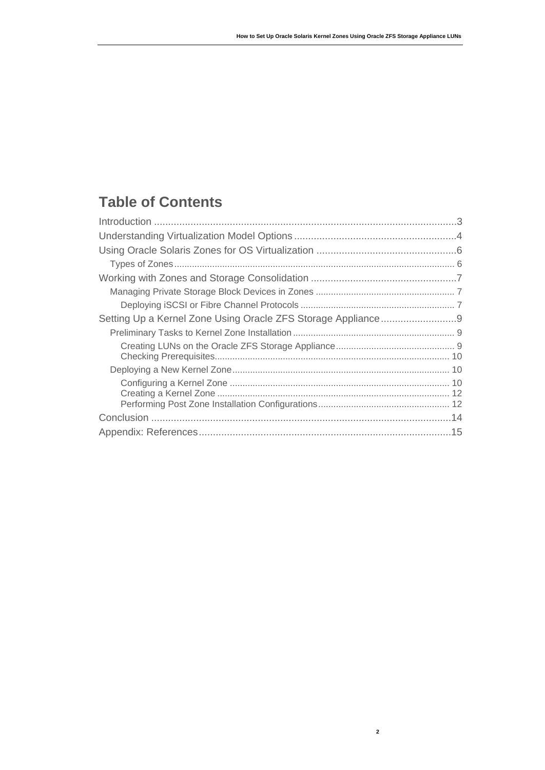# **Table of Contents**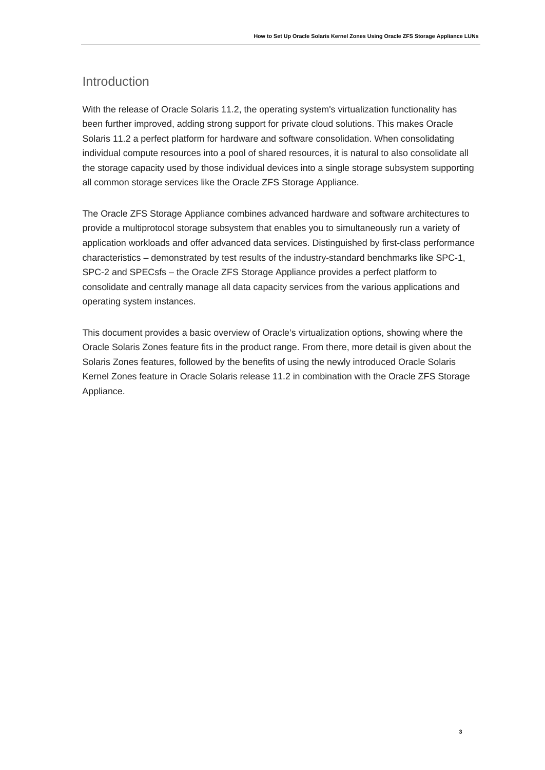### Introduction

With the release of Oracle Solaris 11.2, the operating system's virtualization functionality has been further improved, adding strong support for private cloud solutions. This makes Oracle Solaris 11.2 a perfect platform for hardware and software consolidation. When consolidating individual compute resources into a pool of shared resources, it is natural to also consolidate all the storage capacity used by those individual devices into a single storage subsystem supporting all common storage services like the Oracle ZFS Storage Appliance.

The Oracle ZFS Storage Appliance combines advanced hardware and software architectures to provide a multiprotocol storage subsystem that enables you to simultaneously run a variety of application workloads and offer advanced data services. Distinguished by first-class performance characteristics – demonstrated by test results of the industry-standard benchmarks like SPC-1, SPC-2 and SPECsfs – the Oracle ZFS Storage Appliance provides a perfect platform to consolidate and centrally manage all data capacity services from the various applications and operating system instances.

This document provides a basic overview of Oracle's virtualization options, showing where the Oracle Solaris Zones feature fits in the product range. From there, more detail is given about the Solaris Zones features, followed by the benefits of using the newly introduced Oracle Solaris Kernel Zones feature in Oracle Solaris release 11.2 in combination with the Oracle ZFS Storage Appliance.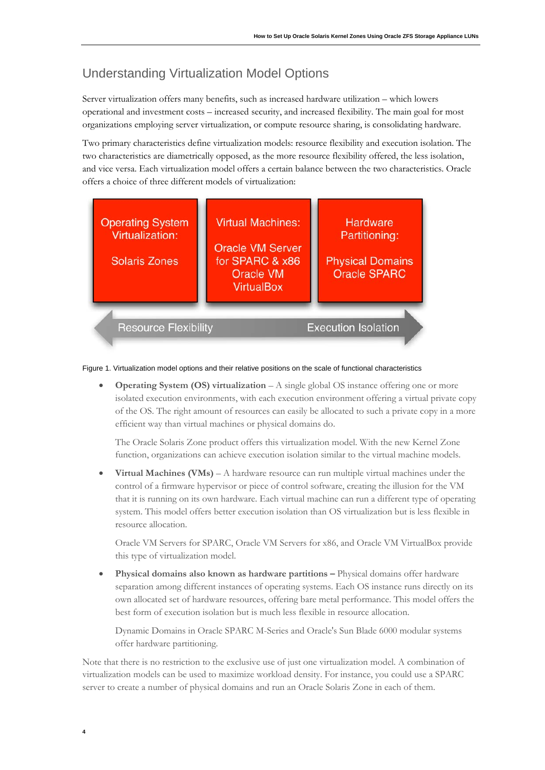## Understanding Virtualization Model Options

Server virtualization offers many benefits, such as increased hardware utilization – which lowers operational and investment costs – increased security, and increased flexibility. The main goal for most organizations employing server virtualization, or compute resource sharing, is consolidating hardware.

Two primary characteristics define virtualization models: resource flexibility and execution isolation. The two characteristics are diametrically opposed, as the more resource flexibility offered, the less isolation, and vice versa. Each virtualization model offers a certain balance between the two characteristics. Oracle offers a choice of three different models of virtualization:



Figure 1. Virtualization model options and their relative positions on the scale of functional characteristics

• **Operating System (OS) virtualization** – A single global OS instance offering one or more isolated execution environments, with each execution environment offering a virtual private copy of the OS. The right amount of resources can easily be allocated to such a private copy in a more efficient way than virtual machines or physical domains do.

The Oracle Solaris Zone product offers this virtualization model. With the new Kernel Zone function, organizations can achieve execution isolation similar to the virtual machine models.

• **Virtual Machines (VMs)** – A hardware resource can run multiple virtual machines under the control of a firmware hypervisor or piece of control software, creating the illusion for the VM that it is running on its own hardware. Each virtual machine can run a different type of operating system. This model offers better execution isolation than OS virtualization but is less flexible in resource allocation.

Oracle VM Servers for SPARC, Oracle VM Servers for x86, and Oracle VM VirtualBox provide this type of virtualization model.

• **Physical domains also known as hardware partitions –** Physical domains offer hardware separation among different instances of operating systems. Each OS instance runs directly on its own allocated set of hardware resources, offering bare metal performance. This model offers the best form of execution isolation but is much less flexible in resource allocation.

Dynamic Domains in Oracle SPARC M-Series and Oracle's Sun Blade 6000 modular systems offer hardware partitioning.

Note that there is no restriction to the exclusive use of just one virtualization model. A combination of virtualization models can be used to maximize workload density. For instance, you could use a SPARC server to create a number of physical domains and run an Oracle Solaris Zone in each of them.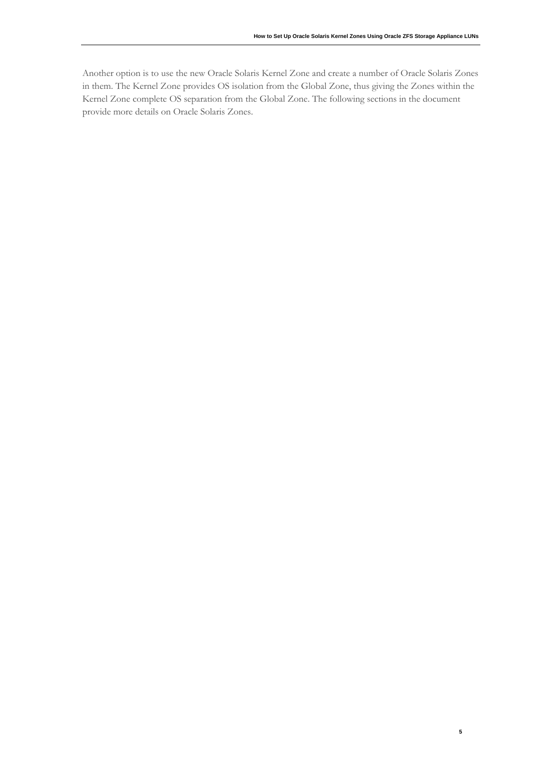**5**

Another option is to use the new Oracle Solaris Kernel Zone and create a number of Oracle Solaris Zones in them. The Kernel Zone provides OS isolation from the Global Zone, thus giving the Zones within the Kernel Zone complete OS separation from the Global Zone. The following sections in the document provide more details on Oracle Solaris Zones.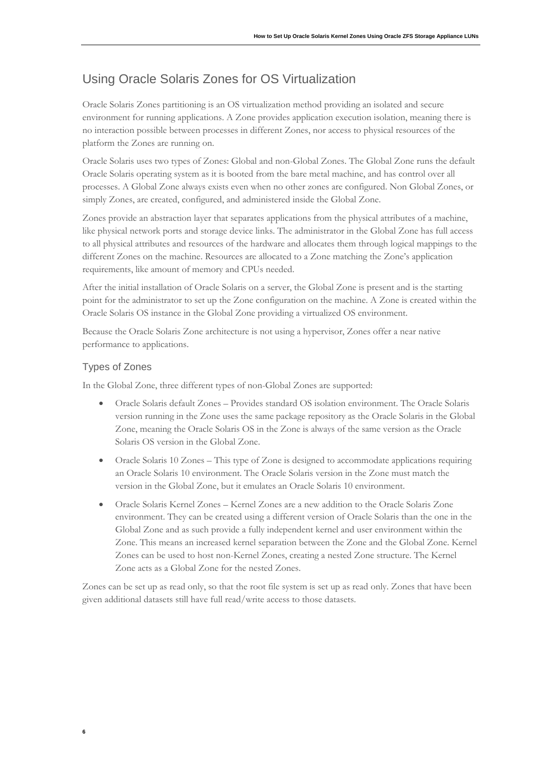# Using Oracle Solaris Zones for OS Virtualization

Oracle Solaris Zones partitioning is an OS virtualization method providing an isolated and secure environment for running applications. A Zone provides application execution isolation, meaning there is no interaction possible between processes in different Zones, nor access to physical resources of the platform the Zones are running on.

Oracle Solaris uses two types of Zones: Global and non-Global Zones. The Global Zone runs the default Oracle Solaris operating system as it is booted from the bare metal machine, and has control over all processes. A Global Zone always exists even when no other zones are configured. Non Global Zones, or simply Zones, are created, configured, and administered inside the Global Zone.

Zones provide an abstraction layer that separates applications from the physical attributes of a machine, like physical network ports and storage device links. The administrator in the Global Zone has full access to all physical attributes and resources of the hardware and allocates them through logical mappings to the different Zones on the machine. Resources are allocated to a Zone matching the Zone's application requirements, like amount of memory and CPUs needed.

After the initial installation of Oracle Solaris on a server, the Global Zone is present and is the starting point for the administrator to set up the Zone configuration on the machine. A Zone is created within the Oracle Solaris OS instance in the Global Zone providing a virtualized OS environment.

Because the Oracle Solaris Zone architecture is not using a hypervisor, Zones offer a near native performance to applications.

### Types of Zones

In the Global Zone, three different types of non-Global Zones are supported:

- Oracle Solaris default Zones Provides standard OS isolation environment. The Oracle Solaris version running in the Zone uses the same package repository as the Oracle Solaris in the Global Zone, meaning the Oracle Solaris OS in the Zone is always of the same version as the Oracle Solaris OS version in the Global Zone.
- Oracle Solaris 10 Zones This type of Zone is designed to accommodate applications requiring an Oracle Solaris 10 environment. The Oracle Solaris version in the Zone must match the version in the Global Zone, but it emulates an Oracle Solaris 10 environment.
- Oracle Solaris Kernel Zones Kernel Zones are a new addition to the Oracle Solaris Zone environment. They can be created using a different version of Oracle Solaris than the one in the Global Zone and as such provide a fully independent kernel and user environment within the Zone. This means an increased kernel separation between the Zone and the Global Zone. Kernel Zones can be used to host non-Kernel Zones, creating a nested Zone structure. The Kernel Zone acts as a Global Zone for the nested Zones.

Zones can be set up as read only, so that the root file system is set up as read only. Zones that have been given additional datasets still have full read/write access to those datasets.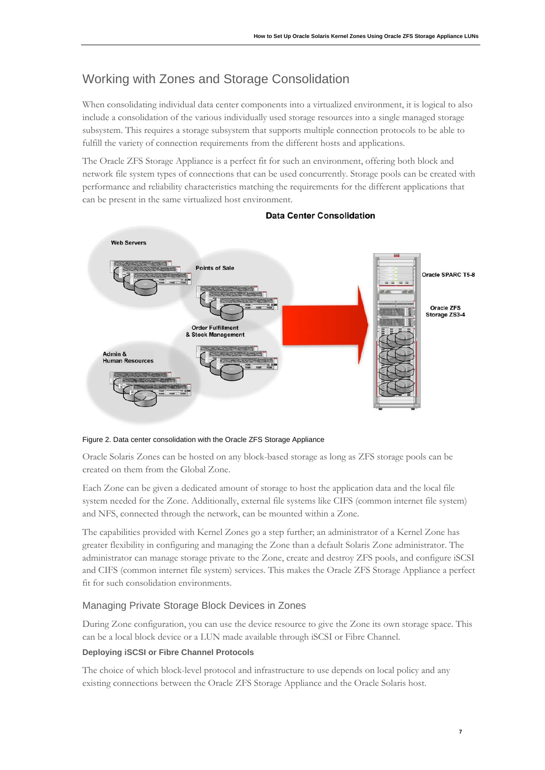# Working with Zones and Storage Consolidation

When consolidating individual data center components into a virtualized environment, it is logical to also include a consolidation of the various individually used storage resources into a single managed storage subsystem. This requires a storage subsystem that supports multiple connection protocols to be able to fulfill the variety of connection requirements from the different hosts and applications.

The Oracle ZFS Storage Appliance is a perfect fit for such an environment, offering both block and network file system types of connections that can be used concurrently. Storage pools can be created with performance and reliability characteristics matching the requirements for the different applications that can be present in the same virtualized host environment.



**Data Center Consolidation** 

#### Figure 2. Data center consolidation with the Oracle ZFS Storage Appliance

Oracle Solaris Zones can be hosted on any block-based storage as long as ZFS storage pools can be created on them from the Global Zone.

Each Zone can be given a dedicated amount of storage to host the application data and the local file system needed for the Zone. Additionally, external file systems like CIFS (common internet file system) and NFS, connected through the network, can be mounted within a Zone.

The capabilities provided with Kernel Zones go a step further; an administrator of a Kernel Zone has greater flexibility in configuring and managing the Zone than a default Solaris Zone administrator. The administrator can manage storage private to the Zone, create and destroy ZFS pools, and configure iSCSI and CIFS (common internet file system) services. This makes the Oracle ZFS Storage Appliance a perfect fit for such consolidation environments.

### Managing Private Storage Block Devices in Zones

During Zone configuration, you can use the device resource to give the Zone its own storage space. This can be a local block device or a LUN made available through iSCSI or Fibre Channel.

### **Deploying iSCSI or Fibre Channel Protocols**

The choice of which block-level protocol and infrastructure to use depends on local policy and any existing connections between the Oracle ZFS Storage Appliance and the Oracle Solaris host.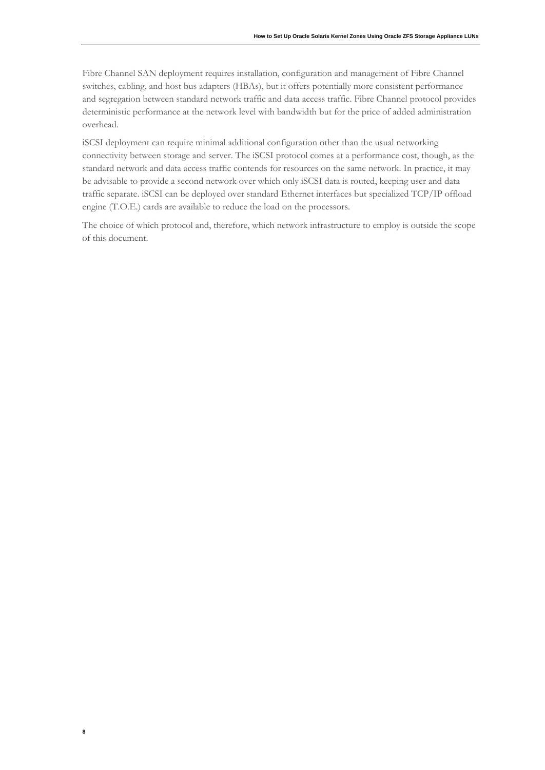Fibre Channel SAN deployment requires installation, configuration and management of Fibre Channel switches, cabling, and host bus adapters (HBAs), but it offers potentially more consistent performance and segregation between standard network traffic and data access traffic. Fibre Channel protocol provides deterministic performance at the network level with bandwidth but for the price of added administration overhead.

iSCSI deployment can require minimal additional configuration other than the usual networking connectivity between storage and server. The iSCSI protocol comes at a performance cost, though, as the standard network and data access traffic contends for resources on the same network. In practice, it may be advisable to provide a second network over which only iSCSI data is routed, keeping user and data traffic separate. iSCSI can be deployed over standard Ethernet interfaces but specialized TCP/IP offload engine (T.O.E.) cards are available to reduce the load on the processors.

The choice of which protocol and, therefore, which network infrastructure to employ is outside the scope of this document.

**8**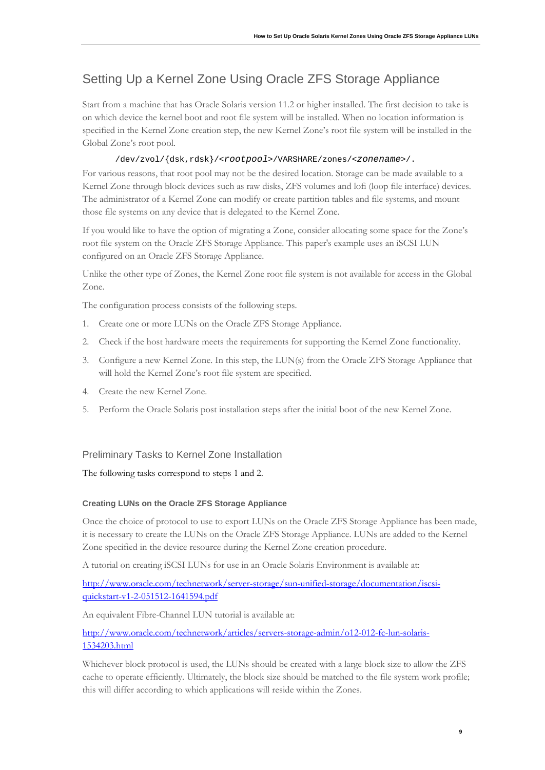# Setting Up a Kernel Zone Using Oracle ZFS Storage Appliance

Start from a machine that has Oracle Solaris version 11.2 or higher installed. The first decision to take is on which device the kernel boot and root file system will be installed. When no location information is specified in the Kernel Zone creation step, the new Kernel Zone's root file system will be installed in the Global Zone's root pool.

### /dev/zvol/{dsk,rdsk}/<*rootpool*>/VARSHARE/zones/<*zonename*>/.

For various reasons, that root pool may not be the desired location. Storage can be made available to a Kernel Zone through block devices such as raw disks, ZFS volumes and lofi (loop file interface) devices. The administrator of a Kernel Zone can modify or create partition tables and file systems, and mount those file systems on any device that is delegated to the Kernel Zone.

If you would like to have the option of migrating a Zone, consider allocating some space for the Zone's root file system on the Oracle ZFS Storage Appliance. This paper's example uses an iSCSI LUN configured on an Oracle ZFS Storage Appliance.

Unlike the other type of Zones, the Kernel Zone root file system is not available for access in the Global Zone.

The configuration process consists of the following steps.

- 1. Create one or more LUNs on the Oracle ZFS Storage Appliance.
- 2. Check if the host hardware meets the requirements for supporting the Kernel Zone functionality.
- 3. Configure a new Kernel Zone. In this step, the LUN(s) from the Oracle ZFS Storage Appliance that will hold the Kernel Zone's root file system are specified.
- 4. Create the new Kernel Zone.
- 5. Perform the Oracle Solaris post installation steps after the initial boot of the new Kernel Zone.

### Preliminary Tasks to Kernel Zone Installation

The following tasks correspond to steps 1 and 2.

#### **Creating LUNs on the Oracle ZFS Storage Appliance**

Once the choice of protocol to use to export LUNs on the Oracle ZFS Storage Appliance has been made, it is necessary to create the LUNs on the Oracle ZFS Storage Appliance. LUNs are added to the Kernel Zone specified in the device resource during the Kernel Zone creation procedure.

A tutorial on creating iSCSI LUNs for use in an Oracle Solaris Environment is available at:

[http://www.oracle.com/technetwork/server-storage/sun-unified-storage/documentation/iscsi](http://www.oracle.com/technetwork/server-storage/sun-unified-storage/documentation/iscsi-quickstart-v1-2-051512-1641594.pdf)[quickstart-v1-2-051512-1641594.pdf](http://www.oracle.com/technetwork/server-storage/sun-unified-storage/documentation/iscsi-quickstart-v1-2-051512-1641594.pdf)

An equivalent Fibre-Channel LUN tutorial is available at:

[http://www.oracle.com/technetwork/articles/servers-storage-admin/o12-012-fc-lun-solaris-](http://www.oracle.com/technetwork/articles/servers-storage-admin/o12-012-fc-lun-solaris-1534203.html)[1534203.html](http://www.oracle.com/technetwork/articles/servers-storage-admin/o12-012-fc-lun-solaris-1534203.html)

Whichever block protocol is used, the LUNs should be created with a large block size to allow the ZFS cache to operate efficiently. Ultimately, the block size should be matched to the file system work profile; this will differ according to which applications will reside within the Zones.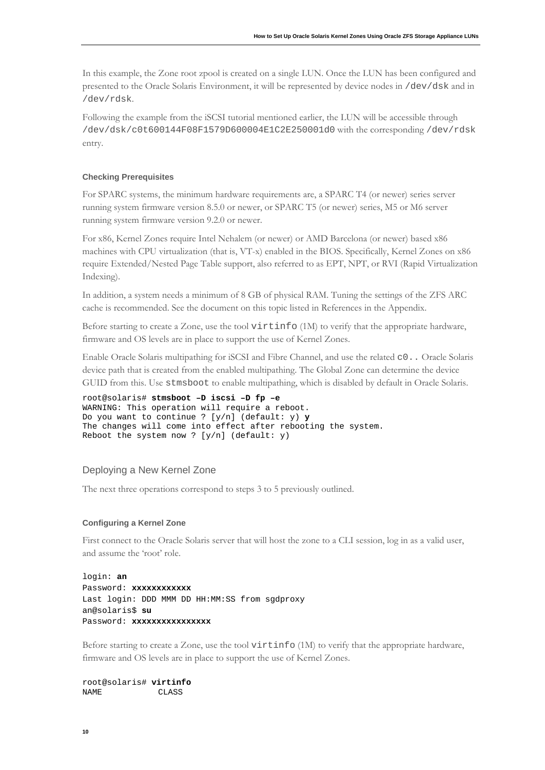In this example, the Zone root zpool is created on a single LUN. Once the LUN has been configured and presented to the Oracle Solaris Environment, it will be represented by device nodes in /dev/dsk and in /dev/rdsk.

Following the example from the iSCSI tutorial mentioned earlier, the LUN will be accessible through /dev/dsk/c0t600144F08F1579D600004E1C2E250001d0 with the corresponding /dev/rdsk entry.

#### **Checking Prerequisites**

For SPARC systems, the minimum hardware requirements are, a SPARC T4 (or newer) series server running system firmware version 8.5.0 or newer, or SPARC T5 (or newer) series, M5 or M6 server running system firmware version 9.2.0 or newer.

For x86, Kernel Zones require Intel Nehalem (or newer) or AMD Barcelona (or newer) based x86 machines with CPU virtualization (that is, VT-x) enabled in the BIOS. Specifically, Kernel Zones on x86 require Extended/Nested Page Table support, also referred to as EPT, NPT, or RVI (Rapid Virtualization Indexing).

In addition, a system needs a minimum of 8 GB of physical RAM. Tuning the settings of the ZFS ARC cache is recommended. See the document on this topic listed in References in the Appendix.

Before starting to create a Zone, use the tool virtinfo (1M) to verify that the appropriate hardware, firmware and OS levels are in place to support the use of Kernel Zones.

Enable Oracle Solaris multipathing for iSCSI and Fibre Channel, and use the related c0.. Oracle Solaris device path that is created from the enabled multipathing. The Global Zone can determine the device GUID from this. Use stmsboot to enable multipathing, which is disabled by default in Oracle Solaris.

```
root@solaris# stmsboot –D iscsi –D fp –e
WARNING: This operation will require a reboot.
Do you want to continue ? [y/n] (default: y) y
The changes will come into effect after rebooting the system.
Reboot the system now ? [y/n] (default: y)
```
### Deploying a New Kernel Zone

The next three operations correspond to steps 3 to 5 previously outlined.

#### **Configuring a Kernel Zone**

First connect to the Oracle Solaris server that will host the zone to a CLI session, log in as a valid user, and assume the 'root' role.

```
login: an
Password: xxxxxxxxxxxx
Last login: DDD MMM DD HH:MM:SS from sgdproxy
an@solaris$ su
Password: xxxxxxxxxxxxxxxx
```
Before starting to create a Zone, use the tool virtinfo (1M) to verify that the appropriate hardware, firmware and OS levels are in place to support the use of Kernel Zones.

root@solaris# **virtinfo**  $ATACC$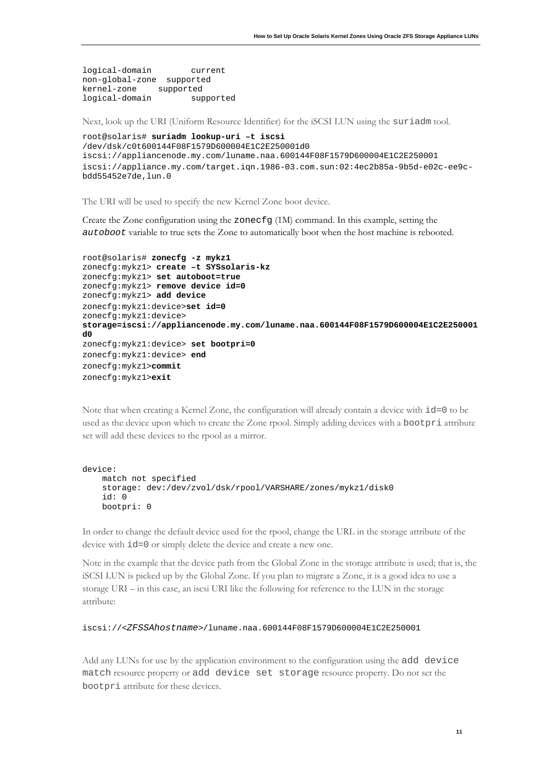logical-domain current non-global-zone supported kernel-zone supported<br>logical-domain supported logical-domain

Next, look up the URI (Uniform Resource Identifier) for the iSCSI LUN using the suriadm tool.

```
root@solaris# suriadm lookup-uri –t iscsi
/dev/dsk/c0t600144F08F1579D600004E1C2E250001d0
iscsi://appliancenode.my.com/luname.naa.600144F08F1579D600004E1C2E250001
iscsi://appliance.my.com/target.iqn.1986-03.com.sun:02:4ec2b85a-9b5d-e02c-ee9c-
bdd55452e7de,lun.0
```
The URI will be used to specify the new Kernel Zone boot device.

Create the Zone configuration using the zonecfg (1M) command. In this example, setting the *autoboot* variable to true sets the Zone to automatically boot when the host machine is rebooted.

```
root@solaris# zonecfg -z mykz1
zonecfg:mykz1> create –t SYSsolaris-kz
zonecfg:mykz1> set autoboot=true
zonecfg:mykz1> remove device id=0
zonecfg:mykz1> add device
zonecfg:mykz1:device>set id=0
zonecfg:mykz1:device>
storage=iscsi://appliancenode.my.com/luname.naa.600144F08F1579D600004E1C2E250001
d0
zonecfg:mykz1:device> set bootpri=0
zonecfg:mykz1:device> end
zonecfg:mykz1>commit
zonecfg:mykz1>exit
```
Note that when creating a Kernel Zone, the configuration will already contain a device with id=0 to be used as the device upon which to create the Zone rpool. Simply adding devices with a bootpri attribute set will add these devices to the rpool as a mirror.

```
device: 
     match not specified 
     storage: dev:/dev/zvol/dsk/rpool/VARSHARE/zones/mykz1/disk0 
     id: 0 
     bootpri: 0
```
In order to change the default device used for the rpool, change the URL in the storage attribute of the device with id=0 or simply delete the device and create a new one.

Note in the example that the device path from the Global Zone in the storage attribute is used; that is, the iSCSI LUN is picked up by the Global Zone. If you plan to migrate a Zone, it is a good idea to use a storage URI – in this case, an iscsi URI like the following for reference to the LUN in the storage attribute:

```
iscsi://<ZFSSAhostname>/luname.naa.600144F08F1579D600004E1C2E250001
```
Add any LUNs for use by the application environment to the configuration using the add device match resource property or add device set storage resource property. Do not set the bootpri attribute for these devices.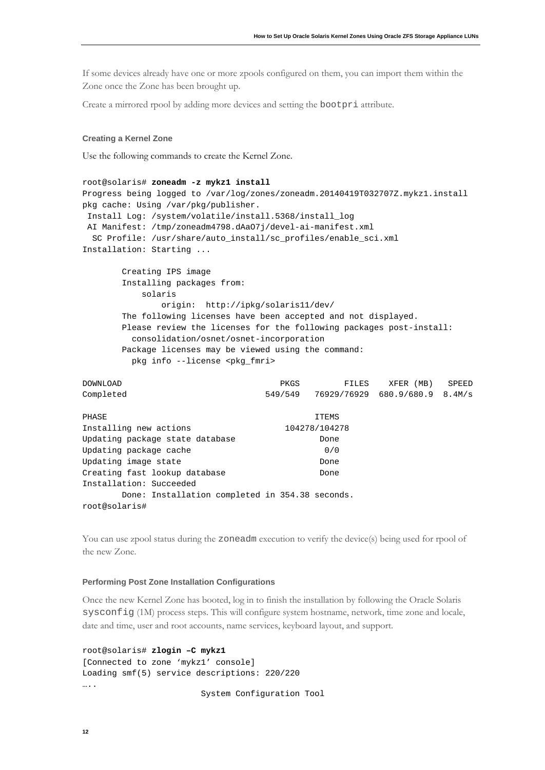If some devices already have one or more zpools configured on them, you can import them within the Zone once the Zone has been brought up.

Create a mirrored rpool by adding more devices and setting the bootpri attribute.

#### **Creating a Kernel Zone**

Use the following commands to create the Kernel Zone.

```
root@solaris# zoneadm -z mykz1 install
Progress being logged to /var/log/zones/zoneadm.20140419T032707Z.mykz1.install
pkg cache: Using /var/pkg/publisher.
Install Log: /system/volatile/install.5368/install_log
AI Manifest: /tmp/zoneadm4798.dAaO7j/devel-ai-manifest.xml
 SC Profile: /usr/share/auto_install/sc_profiles/enable_sci.xml
Installation: Starting ...
        Creating IPS image
        Installing packages from:
            solaris
                origin: http://ipkg/solaris11/dev/
        The following licenses have been accepted and not displayed.
        Please review the licenses for the following packages post-install:
          consolidation/osnet/osnet-incorporation 
        Package licenses may be viewed using the command:
          pkg info --license <pkg_fmri>
DOWNLOAD PKGS FILES XFER (MB) SPEED
Completed 549/549 76929/76929 680.9/680.9 8.4M/s
PHASE ITEMS
Installing new actions 104278/104278<br>Updating package state database 2000 Done
Updating package state database Done<br>
Updating package cache 0/0
```

```
Performing Post Zone Installation Configurations
```
Updating package cache

Installation: Succeeded

root@solaris#

the new Zone.

Once the new Kernel Zone has booted, log in to finish the installation by following the Oracle Solaris sysconfig (1M) process steps. This will configure system hostname, network, time zone and locale, date and time, user and root accounts, name services, keyboard layout, and support.

You can use zpool status during the zoneadm execution to verify the device(s) being used for rpool of

```
root@solaris# zlogin –C mykz1
[Connected to zone 'mykz1' console]
Loading smf(5) service descriptions: 220/220
….
                         System Configuration Tool
```
Updating image state Done Creating fast lookup database **Done** 

Done: Installation completed in 354.38 seconds.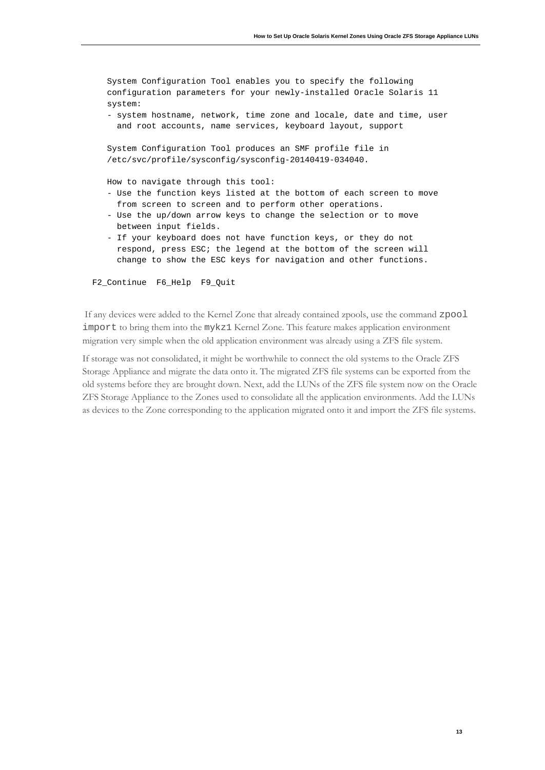```
 System Configuration Tool enables you to specify the following 
 configuration parameters for your newly-installed Oracle Solaris 11 
 system:
 - system hostname, network, time zone and locale, date and time, user 
   and root accounts, name services, keyboard layout, support
 System Configuration Tool produces an SMF profile file in
 /etc/svc/profile/sysconfig/sysconfig-20140419-034040.
 How to navigate through this tool:
 - Use the function keys listed at the bottom of each screen to move 
   from screen to screen and to perform other operations.
 - Use the up/down arrow keys to change the selection or to move 
   between input fields.
 - If your keyboard does not have function keys, or they do not 
   respond, press ESC; the legend at the bottom of the screen will
```
change to show the ESC keys for navigation and other functions.

F2\_Continue F6\_Help F9\_Quit

If any devices were added to the Kernel Zone that already contained zpools, use the command zpool import to bring them into the mykz1 Kernel Zone. This feature makes application environment migration very simple when the old application environment was already using a ZFS file system.

If storage was not consolidated, it might be worthwhile to connect the old systems to the Oracle ZFS Storage Appliance and migrate the data onto it. The migrated ZFS file systems can be exported from the old systems before they are brought down. Next, add the LUNs of the ZFS file system now on the Oracle ZFS Storage Appliance to the Zones used to consolidate all the application environments. Add the LUNs as devices to the Zone corresponding to the application migrated onto it and import the ZFS file systems.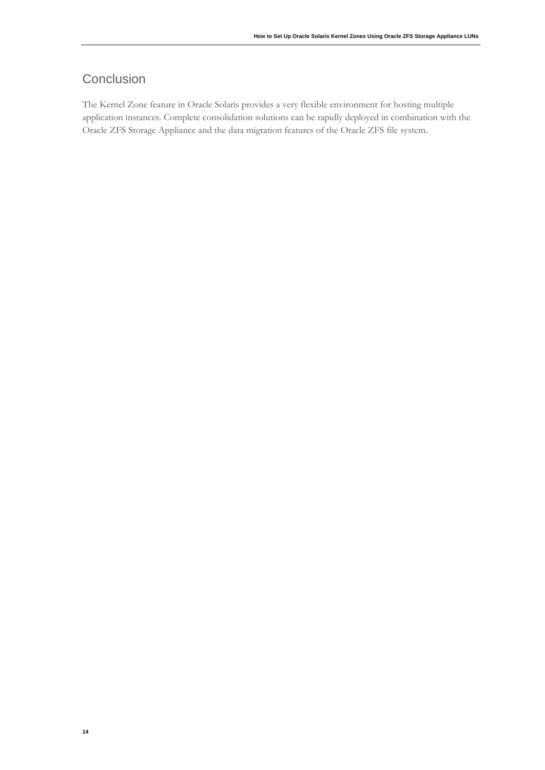# **Conclusion**

The Kernel Zone feature in Oracle Solaris provides a very flexible environment for hosting multiple application instances. Complete consolidation solutions can be rapidly deployed in combination with the Oracle ZFS Storage Appliance and the data migration features of the Oracle ZFS file system.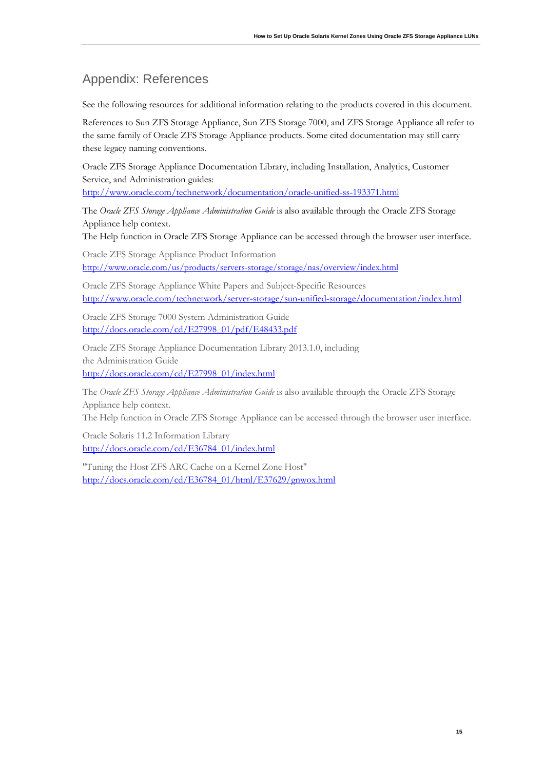# Appendix: References

See the following resources for additional information relating to the products covered in this document.

References to Sun ZFS Storage Appliance, Sun ZFS Storage 7000, and ZFS Storage Appliance all refer to the same family of Oracle ZFS Storage Appliance products. Some cited documentation may still carry these legacy naming conventions.

Oracle ZFS Storage Appliance Documentation Library, including Installation, Analytics, Customer Service, and Administration guides:

<http://www.oracle.com/technetwork/documentation/oracle-unified-ss-193371.html>

The *Oracle ZFS Storage Appliance Administration Guide* is also available through the Oracle ZFS Storage Appliance help context.

The Help function in Oracle ZFS Storage Appliance can be accessed through the browser user interface.

Oracle ZFS Storage Appliance [Product Information](http://www.oracle.com/us/products/servers-storage/storage/nas/overview/index.html) <http://www.oracle.com/us/products/servers-storage/storage/nas/overview/index.html>

Oracle ZFS Storage Appliance White Papers and Subject-Specific Resources <http://www.oracle.com/technetwork/server-storage/sun-unified-storage/documentation/index.html>

Oracle [ZFS Storage 7000 System Administration Guide](http://docs.oracle.com/cd/E26765_01/index.html) [http://docs.oracle.com/cd/E27998\\_01/pdf/E48433.pdf](http://docs.oracle.com/cd/E27998_01/pdf/E48433.pdf)

Oracle ZFS Storage Appliance Documentation Library 2013.1.0, including the Administration Guide [http://docs.oracle.com/cd/E27998\\_01/index.html](http://docs.oracle.com/cd/E27998_01/index.html)

The *Oracle ZFS Storage Appliance Administration Guide* is also available through the Oracle ZFS Storage Appliance help context.

The Help function in Oracle ZFS Storage Appliance can be accessed through the browser user interface.

Oracle Solaris 11.2 Information Library [http://docs.oracle.com/cd/E36784\\_01/index.html](http://docs.oracle.com/cd/E36784_01/index.html)

"Tuning the Host ZFS ARC Cache on a Kernel Zone Host" [http://docs.oracle.com/cd/E36784\\_01/html/E37629/gnwox.html](http://docs.oracle.com/cd/E36784_01/html/E37629/gnwox.html)